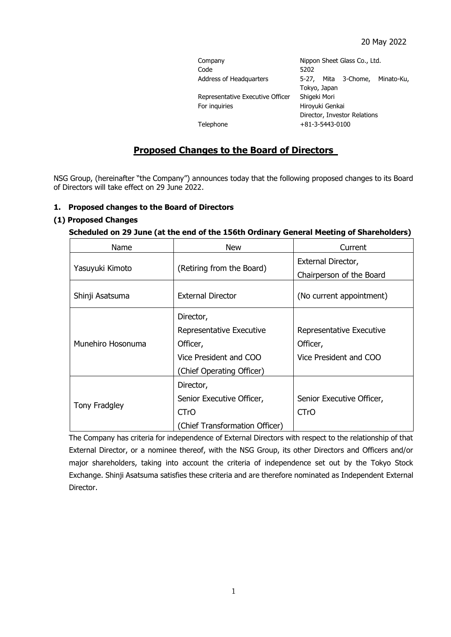| Company                          | Nippon Sheet Glass Co., Ltd.   |  |
|----------------------------------|--------------------------------|--|
| Code                             | 5202                           |  |
| Address of Headquarters          | 5-27, Mita 3-Chome, Minato-Ku, |  |
|                                  | Tokyo, Japan                   |  |
| Representative Executive Officer | Shigeki Mori                   |  |
| For inguiries                    | Hiroyuki Genkai                |  |
|                                  | Director, Investor Relations   |  |
| Telephone                        | $+81-3-5443-0100$              |  |

# **Proposed Changes to the Board of Directors**

NSG Group, (hereinafter "the Company") announces today that the following proposed changes to its Board of Directors will take effect on 29 June 2022.

### **1. Proposed changes to the Board of Directors**

### **(1) Proposed Changes**

#### **Scheduled on 29 June (at the end of the 156th Ordinary General Meeting of Shareholders)**

| Name              | <b>New</b>                     | Current                   |
|-------------------|--------------------------------|---------------------------|
| Yasuyuki Kimoto   | (Retiring from the Board)      | External Director,        |
|                   |                                | Chairperson of the Board  |
| Shinji Asatsuma   | <b>External Director</b>       | (No current appointment)  |
| Munehiro Hosonuma | Director,                      |                           |
|                   | Representative Executive       | Representative Executive  |
|                   | Officer,                       | Officer,                  |
|                   | Vice President and COO         | Vice President and COO    |
|                   | (Chief Operating Officer)      |                           |
| Tony Fradgley     | Director,                      |                           |
|                   | Senior Executive Officer,      | Senior Executive Officer, |
|                   | CTrO                           | <b>CTrO</b>               |
|                   | (Chief Transformation Officer) |                           |

The Company has criteria for independence of External Directors with respect to the relationship of that External Director, or a nominee thereof, with the NSG Group, its other Directors and Officers and/or major shareholders, taking into account the criteria of independence set out by the Tokyo Stock Exchange. Shinji Asatsuma satisfies these criteria and are therefore nominated as Independent External Director.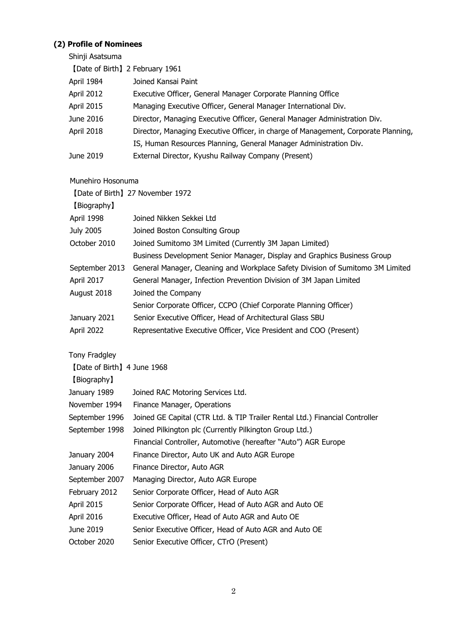# **(2) Profile of Nominees**

Shinji Asatsuma

| [Date of Birth] 2 February 1961 |                                                                                    |
|---------------------------------|------------------------------------------------------------------------------------|
| April 1984                      | Joined Kansai Paint                                                                |
| April 2012                      | Executive Officer, General Manager Corporate Planning Office                       |
| <b>April 2015</b>               | Managing Executive Officer, General Manager International Div.                     |
| June 2016                       | Director, Managing Executive Officer, General Manager Administration Div.          |
| April 2018                      | Director, Managing Executive Officer, in charge of Management, Corporate Planning, |
|                                 | IS, Human Resources Planning, General Manager Administration Div.                  |
| June 2019                       | External Director, Kyushu Railway Company (Present)                                |

# Munehiro Hosonuma

|                                              | [Date of Birth] 27 November 1972                                               |
|----------------------------------------------|--------------------------------------------------------------------------------|
| [Biography]                                  |                                                                                |
| April 1998                                   | Joined Nikken Sekkei Ltd                                                       |
| July 2005                                    | Joined Boston Consulting Group                                                 |
| October 2010                                 | Joined Sumitomo 3M Limited (Currently 3M Japan Limited)                        |
|                                              | Business Development Senior Manager, Display and Graphics Business Group       |
| September 2013                               | General Manager, Cleaning and Workplace Safety Division of Sumitomo 3M Limited |
| April 2017                                   | General Manager, Infection Prevention Division of 3M Japan Limited             |
| August 2018                                  | Joined the Company                                                             |
|                                              | Senior Corporate Officer, CCPO (Chief Corporate Planning Officer)              |
| January 2021                                 | Senior Executive Officer, Head of Architectural Glass SBU                      |
| April 2022                                   | Representative Executive Officer, Vice President and COO (Present)             |
| Tony Fradgley<br>[Date of Birth] 4 June 1968 |                                                                                |
| [Biography]                                  |                                                                                |
| January 1989                                 | Joined RAC Motoring Services Ltd.                                              |
| November 1994                                | Finance Manager, Operations                                                    |
| September 1996                               | Joined GE Capital (CTR Ltd. & TIP Trailer Rental Ltd.) Financial Controller    |
| September 1998                               | Joined Pilkington plc (Currently Pilkington Group Ltd.)                        |
|                                              | Financial Controller, Automotive (hereafter "Auto") AGR Europe                 |
| January 2004                                 | Finance Director, Auto UK and Auto AGR Europe                                  |
| January 2006                                 | Finance Director, Auto AGR                                                     |
| September 2007                               | Managing Director, Auto AGR Europe                                             |
| February 2012                                | Senior Corporate Officer, Head of Auto AGR                                     |
| <b>April 2015</b>                            | Senior Corporate Officer, Head of Auto AGR and Auto OE                         |
| April 2016                                   | Executive Officer, Head of Auto AGR and Auto OE                                |
| June 2019                                    | Senior Executive Officer, Head of Auto AGR and Auto OE                         |
| October 2020                                 | Senior Executive Officer, CTrO (Present)                                       |